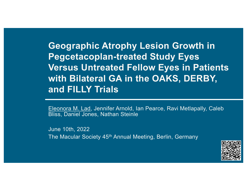**Geographic Atrophy Lesion Growth in Pegcetacoplan-treated Study Eyes Versus Untreated Fellow Eyes in Patients with Bilateral GA in the OAKS, DERBY, and FILLY Trials**

Eleonora M. Lad, Jennifer Arnold, Ian Pearce, Ravi Metlapally, Caleb Bliss, Daniel Jones, Nathan Steinle

June 10th, 2022 The Macular Society 45<sup>th</sup> Annual Meeting, Berlin, Germany

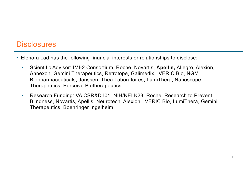### **Disclosures**

- Elenora Lad has the following financial interests or relationships to disclose:
	- Scientific Advisor: IMI-2 Consortium, Roche, Novartis, **Apellis,** Allegro, Alexion, Annexon, Gemini Therapeutics, Retrotope, Galimedix, IVERIC Bio, NGM Biopharmaceuticals, Janssen, Thea Laboratoires, LumiThera, Nanoscope Therapeutics, Perceive Biotherapeutics
	- Research Funding: VA CSR&D I01, NIH/NEI K23, Roche, Research to Prevent Blindness, Novartis, Apellis, Neurotech, Alexion, IVERIC Bio, LumiThera, Gemini Therapeutics, Boehringer Ingelheim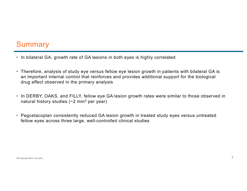# **Summary**

- In bilateral GA, growth rate of GA lesions in both eyes is highly correlated
- Therefore, analysis of study eye versus fellow eye lesion growth in patients with bilateral GA is an important internal control that reinforces and provides additional support for the biological drug effect observed in the primary analysis
- In DERBY, OAKS, and FILLY, fellow eye GA lesion growth rates were similar to those observed in natural history studies  $(-2 \text{ mm}^2 \text{ per year})$
- Pegcetacoplan consistently reduced GA lesion growth in treated study eyes versus untreated fellow eyes across three large, well-controlled clinical studies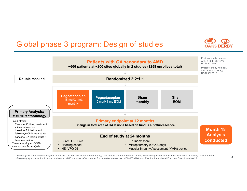# Global phase 3 program: Design of studies





AMD=age-related macular degeneration; BCVA=best-corrected visual acuity; CNV=choroidal neovascularization; EOM=every other month; FRI=Functional Reading Independence; GA=geographic atrophy; LL=low luminance; MMRM=mixed-effect model for repeated measures; NEI-VFQ=National Eye Institute Visual Function Questionnaire-25.

4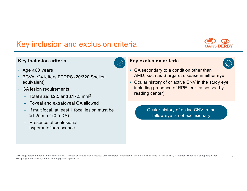# Key inclusion and exclusion criteria



#### **Key inclusion criteria**



- BCVA ≥24 letters ETDRS (20/320 Snellen equivalent)
- GA lesion requirements:
	- Total size: ≥2.5 and ≤17.5 mm2
	- Foveal and extrafoveal GA allowed
	- If multifocal, at least 1 focal lesion must be  $≥1.25$  mm<sup>2</sup> (0.5 DA)
	- Presence of perilesional hyperautofluorescence



- GA secondary to a condition other than AMD, such as Stargardt disease in either eye
- Ocular history of or active CNV in the study eye, including presence of RPE tear (assessed by reading center)

Ocular history of active CNV in the fellow eye is not exclusionary

AMD=age-related macular degeneration; BCVA=best-corrected visual acuity; CNV=choroidal neovascularization; DA=disk area; ETDRS=Early Treatment Diabetic Retinopathy Study; GA=geographic atrophy; RPE=retinal pigment epithelium.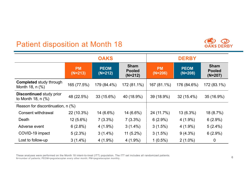# Patient disposition at Month 18



|                                                            | <b>OAKS</b>            |                          |                                           | <b>DERBY</b>           |                          |                                           |
|------------------------------------------------------------|------------------------|--------------------------|-------------------------------------------|------------------------|--------------------------|-------------------------------------------|
|                                                            | <b>PM</b><br>$(N=213)$ | <b>PEOM</b><br>$(N=212)$ | <b>Sham</b><br><b>Pooled</b><br>$(N=212)$ | <b>PM</b><br>$(N=206)$ | <b>PEOM</b><br>$(N=208)$ | <b>Sham</b><br><b>Pooled</b><br>$(N=207)$ |
| <b>Completed study through</b><br>Month 18, n (%)          | 165 (77.5%)            | 179 (84.4%)              | 172 (81.1%)                               | 167 (81.1%)            | 176 (84.6%)              | 172 (83.1%)                               |
| <b>Discontinued study prior</b><br>to Month 18, $n$ $(\%)$ | 48 (22.5%)             | 33 (15.6%)               | 40 (18.9%)                                | 39 (18.9%)             | $32(15.4\%)$             | 35 (16.9%)                                |
| Reason for discontinuation, n (%)                          |                        |                          |                                           |                        |                          |                                           |
| <b>Consent withdrawal</b>                                  | 22 (10.3%)             | $14(6.6\%)$              | 14 (6.6%)                                 | 24 (11.7%)             | $13(6.3\%)$              | 18(8.7%)                                  |
| Death                                                      | $12(5.6\%)$            | $7(3.3\%)$               | $7(3.3\%)$                                | $6(2.9\%)$             | $4(1.9\%)$               | $6(2.9\%)$                                |
| Adverse event                                              | $6(2.8\%)$             | $4(1.9\%)$               | $3(1.4\%)$                                | 3(1.5%)                | $4(1.9\%)$               | $5(2.4\%)$                                |
| COVID-19 impact                                            | $5(2.3\%)$             | $3(1.4\%)$               | $11(5.2\%)$                               | $3(1.5\%)$             | $9(4.3\%)$               | $6(2.9\%)$                                |
| Lost to follow-up                                          | $3(1.4\%)$             | $4(1.9\%)$               | $4(1.9\%)$                                | $1(0.5\%)$             | $2(1.0\%)$               | $\mathbf 0$                               |

These analyses were performed on the Month 18 intent-to-treat (ITT) population. The ITT set includes all randomized patients. N=number of patients; PEOM=pegcetacoplan every other month; PM=pegcetacoplan monthly.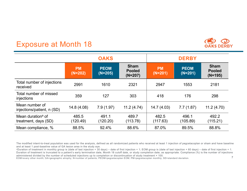# Exposure at Month 18



The modified intent-to-treat population was used for the analysis, defined as all randomized patients who received at least 1 injection of pegcetacoplan or sham and have baseline and at least 1 post-baseline value of GA lesion area in the study eye.

7 <sup>a</sup>Duration of treatment in monthly group is (date of last injection + 30 days) – date of first injection + 1; EOM group is (date of last injection + 60 days) – date of first injection + 1. Duration of treatment is truncated to a patient's early termination date. Month 18 cutoff date, or study completion date, as appropriate, Compliance (%) is the number of injections administered divided by the number of scheduled injections up to completion or discontinuation of study treatment × 100.

EOM=every other month; GA=geographic atrophy; N=number of patients; PEOM=pegcetacoplan EOM; PM=pegcetacoplan monthly; SD=standard deviation.

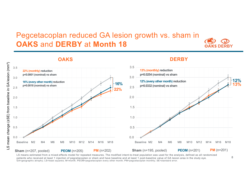## Pegcetacoplan reduced GA lesion growth vs. sham in **OAKS** and **DERBY** at **Month 18**



#### **OAKS** LS mean change (±SE) from baseline in GA lesion (mm<sup>2</sup>) ±SE) from baseline in GA lesion (mm²) 3.5 **22% (monthly) reduction p<0.0001 (nominal) vs sham** 3.0 **16% (every other month) reduction p=0.0018 (nominal) vs sham** 2.5 2.0 1.5 1.0 LS mean change ( 0.5 0.0 Baseline M2 M4 M6 M8 M10 M12 M14 M16 M18 **Sham** (n=207, pooled) **PEOM** (n=205) **PM** (n=202)

### **DERBY**



LS means estimated from a mixed-effects model for repeated measures. The modified intent-to-treat population was used for the analysis, defined as all randomized patients who received at least 1 injection of pegcetacoplan or sham and have baseline and at least 1 post-baseline value of GA lesion area in the study eye. GA=geographic atrophy; LS=least squares; M=month; PEOM=pegcetacoplan every other month; PM=pegcetacoplan monthly; SE=standard error.

8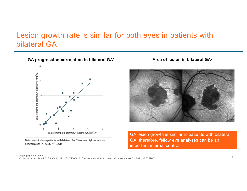## Lesion growth rate is similar for both eyes in patients with bilateral GA

**GA progression correlation in bilateral GA1 Area of lesion in bilateral GA2**



Data points indicate patients with bilateral GA. There was high correlation between eyes ( $r = 0.86; P < .001$ ).



GA lesion growth is similar in patients with bilateral GA; therefore, fellow eye analyses can be an important internal control

#### GA=geographic atrophy.

1. Colijn JM, et al. *JAMA Ophthalmol* 2021;139:743–50; 2. Fleckenstein M, et al. *Invest Ophthalmol Vis Sci* 2011;52:6552–7.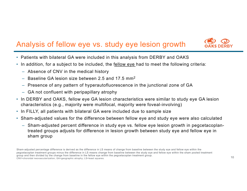# Analysis of fellow eye vs. study eye lesion growth



- Patients with bilateral GA were included in this analysis from DERBY and OAKS
- In addition, for a subject to be included, the fellow eye had to meet the following criteria:
	- Absence of CNV in the medical history
	- Baseline GA lesion size between 2.5 and 17.5  $mm<sup>2</sup>$
	- Presence of any pattern of hyperautofluorescence in the junctional zone of GA
	- GA not confluent with peripapillary atrophy
- In DERBY and OAKS, fellow eye GA lesion characteristics were similar to study eye GA lesion characteristics (e.g., majority were multifocal, majority were foveal-involving)
- In FILLY, all patients with bilateral GA were included due to sample size
- Sham-adjusted values for the difference between fellow eye and study eye were also calculated
	- Sham-adjusted percent difference in study eye vs. fellow eye lesion growth in pegcetacoplantreated groups adjusts for difference in lesion growth between study eye and fellow eye in sham group

Sham-adjusted percentage difference is derived as the difference in LS means of change from baseline between the study eye and fellow eye within the pegcetacoplan treatment groups minus the difference in LS means change from baseline between the study eye and fellow eye within the sham pooled treatment group and then divided by the change from baseline in the fellow eye within the pegcetacoplan treatment group. CNV=choroidal neovascularization; GA=geographic atrophy; LS=least squares.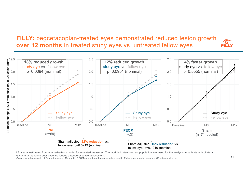**FILLY:** pegcetacoplan-treated eyes demonstrated reduced lesion growth **over 12 months** in treated study eyes vs. untreated fellow eyes



LS means estimated from a mixed-effects model for repeated measures. The modified intent-to-treat population was used for the analysis in patients with bilateral GA with at least one post-baseline fundus autofluorescence assessment.

GA=geographic atrophy; LS=least squares; M=month; PEOM=pegcetacoplan every other month; PM=pegcetacoplan monthly; SE=standard error.

31 L C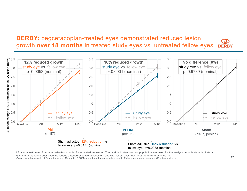#### **DERBY:** pegcetacoplan-treated eyes demonstrated reduced lesion growth **over 18 months** in treated study eyes vs. untreated fellow eyes **DERBY**



LS means estimated from a mixed-effects model for repeated measures. The modified intent-to-treat population was used for the analysis in patients with bilateral GA with at least one post-baseline fundus autofluorescence assessment and with fellow eyes that meet the criteria on slide 10. GA=geographic atrophy; LS=least squares; M=month; PEOM=pegcetacoplan every other month; PM=pegcetacoplan monthly; SE=standard error.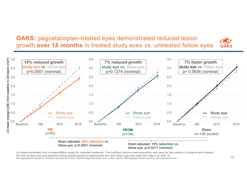**OAKS:** pegcetacoplan-treated eyes demonstrated reduced lesion growth **over 18 months** in treated study eyes vs. untreated fellow eyes



LS means estimated from a mixed-effects model for repeated measures. The modified intent-to-treat population was used for the analysis in patients with bilateral GA with at least one post-baseline fundus autofluorescence assessment and with fellow eyes that meet the criteria on slide 10. GA=geographic atrophy; LS=least squares; M=month; PEOM=pegcetacoplan every other month; PM=pegcetacoplan monthly; SE=standard error.